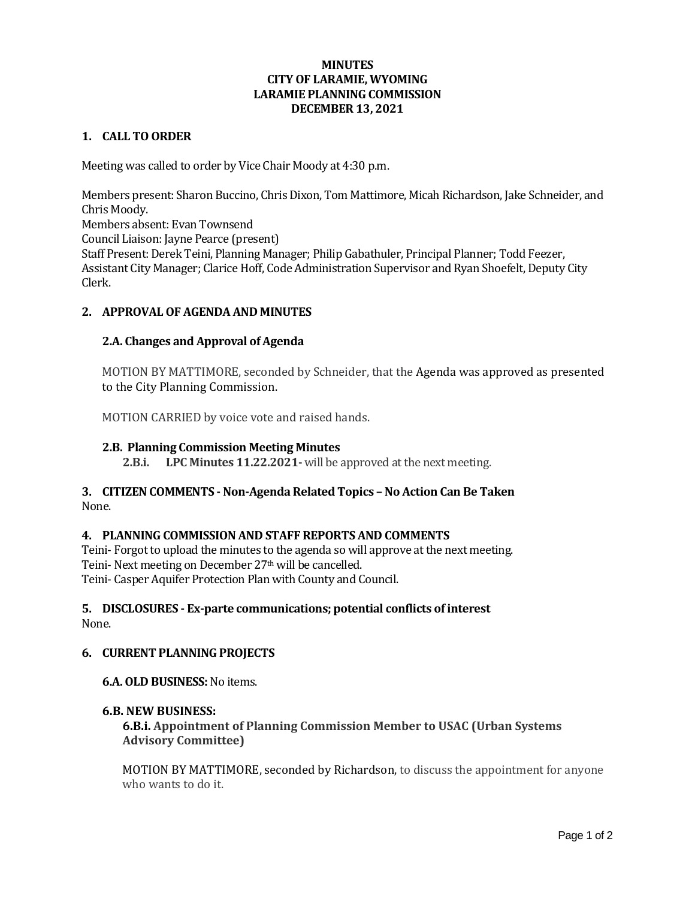## **MINUTES CITY OF LARAMIE, WYOMING LARAMIE PLANNING COMMISSION DECEMBER 13, 2021**

### **1. CALL TO ORDER**

Meeting was called to order by Vice Chair Moody at 4:30 p.m.

Members present: Sharon Buccino, Chris Dixon, Tom Mattimore, Micah Richardson, Jake Schneider, and Chris Moody. Members absent: Evan Townsend Council Liaison: Jayne Pearce (present) Staff Present: Derek Teini, Planning Manager; Philip Gabathuler, Principal Planner; Todd Feezer, Assistant City Manager; Clarice Hoff, Code Administration Supervisor and Ryan Shoefelt, Deputy City Clerk.

# **2. APPROVAL OF AGENDA AND MINUTES**

# **2.A. Changes and Approval of Agenda**

MOTION BY MATTIMORE, seconded by Schneider, that the Agenda was approved as presented to the City Planning Commission.

MOTION CARRIED by voice vote and raised hands.

### **2.B. Planning Commission Meeting Minutes**

**2.B.i. LPC Minutes 11.22.2021-** will be approved at the next meeting.

## **3. CITIZEN COMMENTS - Non-Agenda Related Topics – No Action Can Be Taken** None.

### **4. PLANNING COMMISSION AND STAFF REPORTS AND COMMENTS**

Teini- Forgot to upload the minutes to the agenda so will approve at the next meeting. Teini- Next meeting on December 27<sup>th</sup> will be cancelled. Teini- Casper Aquifer Protection Plan with County and Council.

### **5. DISCLOSURES - Ex-parte communications; potential conflicts of interest** None.

### **6. CURRENT PLANNING PROJECTS**

### **6.A. OLD BUSINESS:**No items.

### **6.B. NEW BUSINESS:**

**6.B.i. Appointment of Planning Commission Member to USAC (Urban Systems Advisory Committee)**

MOTION BY MATTIMORE, seconded by Richardson, to discuss the appointment for anyone who wants to do it.